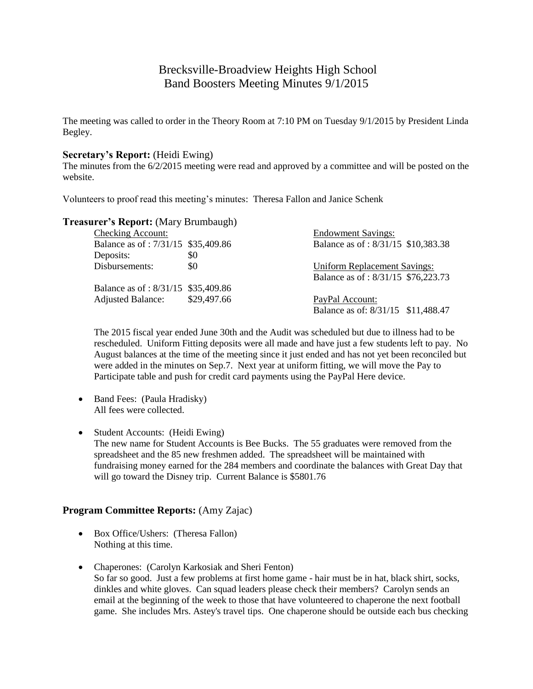# Brecksville-Broadview Heights High School Band Boosters Meeting Minutes 9/1/2015

The meeting was called to order in the Theory Room at 7:10 PM on Tuesday 9/1/2015 by President Linda Begley.

#### **Secretary's Report:** (Heidi Ewing)

The minutes from the 6/2/2015 meeting were read and approved by a committee and will be posted on the website.

Volunteers to proof read this meeting's minutes: Theresa Fallon and Janice Schenk

### **Treasurer's Report:** (Mary Brumbaugh)

| <b>Checking Account:</b>           |             | <b>Endowment Savings:</b>           |
|------------------------------------|-------------|-------------------------------------|
| Balance as of: 7/31/15 \$35,409.86 |             | Balance as of: 8/31/15 \$10,383.38  |
| Deposits:                          | \$0         |                                     |
| Disbursements:                     | \$0         | <b>Uniform Replacement Savings:</b> |
|                                    |             | Balance as of: 8/31/15 \$76,223.73  |
| Balance as of: 8/31/15 \$35,409.86 |             |                                     |
| <b>Adjusted Balance:</b>           | \$29,497.66 | PayPal Account:                     |
|                                    |             | Balance as of: 8/31/15 \$11,488.47  |

The 2015 fiscal year ended June 30th and the Audit was scheduled but due to illness had to be rescheduled. Uniform Fitting deposits were all made and have just a few students left to pay. No August balances at the time of the meeting since it just ended and has not yet been reconciled but were added in the minutes on Sep.7. Next year at uniform fitting, we will move the Pay to Participate table and push for credit card payments using the PayPal Here device.

- Band Fees: (Paula Hradisky) All fees were collected.
- Student Accounts: (Heidi Ewing) The new name for Student Accounts is Bee Bucks. The 55 graduates were removed from the spreadsheet and the 85 new freshmen added. The spreadsheet will be maintained with fundraising money earned for the 284 members and coordinate the balances with Great Day that will go toward the Disney trip. Current Balance is \$5801.76

# **Program Committee Reports:** (Amy Zajac)

- Box Office/Ushers: (Theresa Fallon) Nothing at this time.
- Chaperones: (Carolyn Karkosiak and Sheri Fenton) So far so good. Just a few problems at first home game - hair must be in hat, black shirt, socks, dinkles and white gloves. Can squad leaders please check their members? Carolyn sends an email at the beginning of the week to those that have volunteered to chaperone the next football game. She includes Mrs. Astey's travel tips. One chaperone should be outside each bus checking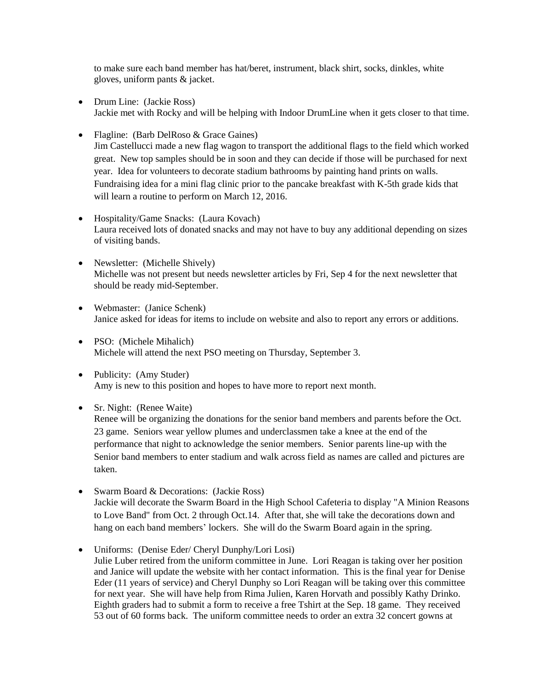to make sure each band member has hat/beret, instrument, black shirt, socks, dinkles, white gloves, uniform pants & jacket.

- Drum Line: (Jackie Ross) Jackie met with Rocky and will be helping with Indoor DrumLine when it gets closer to that time.
- Flagline: (Barb DelRoso & Grace Gaines)

Jim Castellucci made a new flag wagon to transport the additional flags to the field which worked great. New top samples should be in soon and they can decide if those will be purchased for next year. Idea for volunteers to decorate stadium bathrooms by painting hand prints on walls. Fundraising idea for a mini flag clinic prior to the pancake breakfast with K-5th grade kids that will learn a routine to perform on March 12, 2016.

- Hospitality/Game Snacks: (Laura Kovach) Laura received lots of donated snacks and may not have to buy any additional depending on sizes of visiting bands.
- Newsletter: (Michelle Shively) Michelle was not present but needs newsletter articles by Fri, Sep 4 for the next newsletter that should be ready mid-September.
- Webmaster: (Janice Schenk) Janice asked for ideas for items to include on website and also to report any errors or additions.
- PSO: (Michele Mihalich) Michele will attend the next PSO meeting on Thursday, September 3.
- Publicity: (Amy Studer) Amy is new to this position and hopes to have more to report next month.

#### • Sr. Night: (Renee Waite)

Renee will be organizing the donations for the senior band members and parents before the Oct. 23 game. Seniors wear yellow plumes and underclassmen take a knee at the end of the performance that night to acknowledge the senior members. Senior parents line-up with the Senior band members to enter stadium and walk across field as names are called and pictures are taken.

- Swarm Board & Decorations: (Jackie Ross) Jackie will decorate the Swarm Board in the High School Cafeteria to display "A Minion Reasons to Love Band" from Oct. 2 through Oct.14. After that, she will take the decorations down and hang on each band members' lockers. She will do the Swarm Board again in the spring.
- Uniforms: (Denise Eder/ Cheryl Dunphy/Lori Losi) Julie Luber retired from the uniform committee in June. Lori Reagan is taking over her position and Janice will update the website with her contact information. This is the final year for Denise Eder (11 years of service) and Cheryl Dunphy so Lori Reagan will be taking over this committee for next year. She will have help from Rima Julien, Karen Horvath and possibly Kathy Drinko. Eighth graders had to submit a form to receive a free Tshirt at the Sep. 18 game. They received 53 out of 60 forms back. The uniform committee needs to order an extra 32 concert gowns at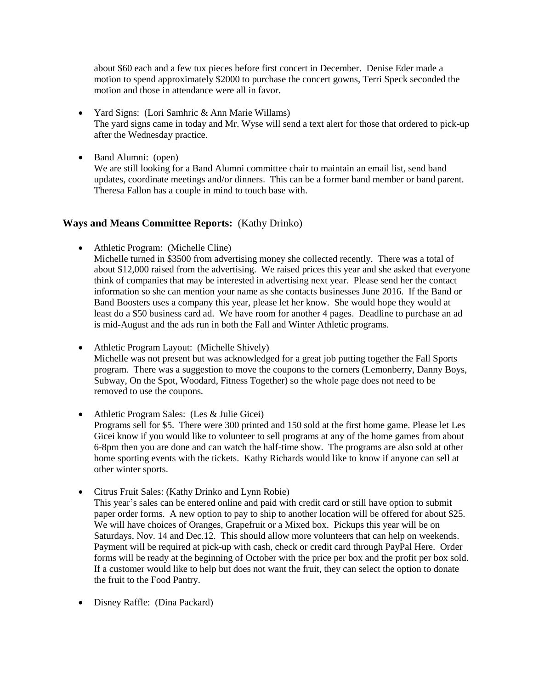about \$60 each and a few tux pieces before first concert in December. Denise Eder made a motion to spend approximately \$2000 to purchase the concert gowns, Terri Speck seconded the motion and those in attendance were all in favor.

- Yard Signs: (Lori Samhric & Ann Marie Willams) The yard signs came in today and Mr. Wyse will send a text alert for those that ordered to pick-up after the Wednesday practice.
- Band Alumni: (open)

We are still looking for a Band Alumni committee chair to maintain an email list, send band updates, coordinate meetings and/or dinners. This can be a former band member or band parent. Theresa Fallon has a couple in mind to touch base with.

# **Ways and Means Committee Reports:** (Kathy Drinko)

- Athletic Program: (Michelle Cline)
	- Michelle turned in \$3500 from advertising money she collected recently. There was a total of about \$12,000 raised from the advertising. We raised prices this year and she asked that everyone think of companies that may be interested in advertising next year. Please send her the contact information so she can mention your name as she contacts businesses June 2016. If the Band or Band Boosters uses a company this year, please let her know. She would hope they would at least do a \$50 business card ad. We have room for another 4 pages. Deadline to purchase an ad is mid-August and the ads run in both the Fall and Winter Athletic programs.
- Athletic Program Layout: (Michelle Shively) Michelle was not present but was acknowledged for a great job putting together the Fall Sports program. There was a suggestion to move the coupons to the corners (Lemonberry, Danny Boys, Subway, On the Spot, Woodard, Fitness Together) so the whole page does not need to be removed to use the coupons.
- Athletic Program Sales: (Les & Julie Gicei) Programs sell for \$5. There were 300 printed and 150 sold at the first home game. Please let Les Gicei know if you would like to volunteer to sell programs at any of the home games from about 6-8pm then you are done and can watch the half-time show. The programs are also sold at other home sporting events with the tickets. Kathy Richards would like to know if anyone can sell at other winter sports.
- Citrus Fruit Sales: (Kathy Drinko and Lynn Robie) This year's sales can be entered online and paid with credit card or still have option to submit paper order forms. A new option to pay to ship to another location will be offered for about \$25. We will have choices of Oranges, Grapefruit or a Mixed box. Pickups this year will be on Saturdays, Nov. 14 and Dec.12. This should allow more volunteers that can help on weekends. Payment will be required at pick-up with cash, check or credit card through PayPal Here. Order forms will be ready at the beginning of October with the price per box and the profit per box sold. If a customer would like to help but does not want the fruit, they can select the option to donate the fruit to the Food Pantry.
- Disney Raffle: (Dina Packard)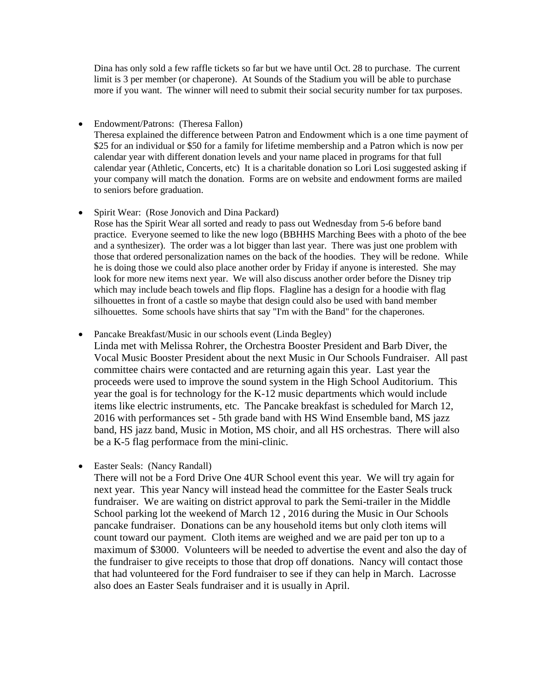Dina has only sold a few raffle tickets so far but we have until Oct. 28 to purchase. The current limit is 3 per member (or chaperone). At Sounds of the Stadium you will be able to purchase more if you want. The winner will need to submit their social security number for tax purposes.

• Endowment/Patrons: (Theresa Fallon) Theresa explained the difference between Patron and Endowment which is a one time payment of \$25 for an individual or \$50 for a family for lifetime membership and a Patron which is now per calendar year with different donation levels and your name placed in programs for that full calendar year (Athletic, Concerts, etc) It is a charitable donation so Lori Losi suggested asking if your company will match the donation. Forms are on website and endowment forms are mailed to seniors before graduation.

- Spirit Wear: (Rose Jonovich and Dina Packard) Rose has the Spirit Wear all sorted and ready to pass out Wednesday from 5-6 before band practice. Everyone seemed to like the new logo (BBHHS Marching Bees with a photo of the bee and a synthesizer). The order was a lot bigger than last year. There was just one problem with those that ordered personalization names on the back of the hoodies. They will be redone. While he is doing those we could also place another order by Friday if anyone is interested. She may look for more new items next year. We will also discuss another order before the Disney trip which may include beach towels and flip flops. Flagline has a design for a hoodie with flag silhouettes in front of a castle so maybe that design could also be used with band member silhouettes. Some schools have shirts that say "I'm with the Band" for the chaperones.
- Pancake Breakfast/Music in our schools event (Linda Begley)

Linda met with Melissa Rohrer, the Orchestra Booster President and Barb Diver, the Vocal Music Booster President about the next Music in Our Schools Fundraiser. All past committee chairs were contacted and are returning again this year. Last year the proceeds were used to improve the sound system in the High School Auditorium. This year the goal is for technology for the K-12 music departments which would include items like electric instruments, etc. The Pancake breakfast is scheduled for March 12, 2016 with performances set - 5th grade band with HS Wind Ensemble band, MS jazz band, HS jazz band, Music in Motion, MS choir, and all HS orchestras. There will also be a K-5 flag performace from the mini-clinic.

• Easter Seals: (Nancy Randall)

There will not be a Ford Drive One 4UR School event this year. We will try again for next year. This year Nancy will instead head the committee for the Easter Seals truck fundraiser. We are waiting on district approval to park the Semi-trailer in the Middle School parking lot the weekend of March 12 , 2016 during the Music in Our Schools pancake fundraiser. Donations can be any household items but only cloth items will count toward our payment. Cloth items are weighed and we are paid per ton up to a maximum of \$3000. Volunteers will be needed to advertise the event and also the day of the fundraiser to give receipts to those that drop off donations. Nancy will contact those that had volunteered for the Ford fundraiser to see if they can help in March. Lacrosse also does an Easter Seals fundraiser and it is usually in April.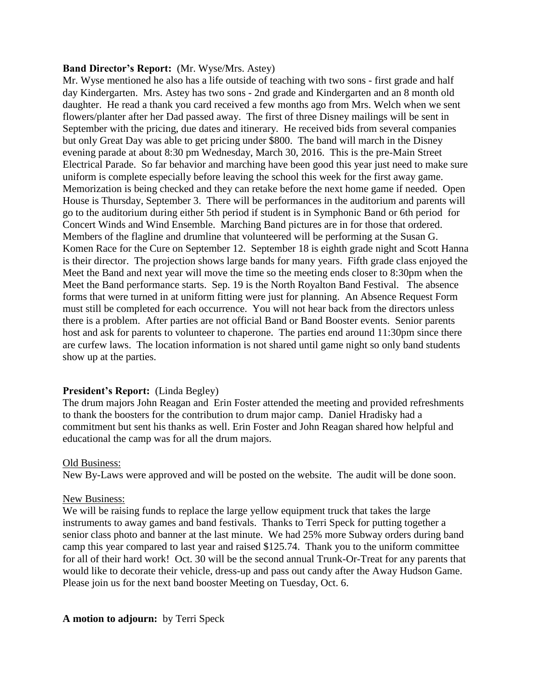#### **Band Director's Report:** (Mr. Wyse/Mrs. Astey)

Mr. Wyse mentioned he also has a life outside of teaching with two sons - first grade and half day Kindergarten. Mrs. Astey has two sons - 2nd grade and Kindergarten and an 8 month old daughter. He read a thank you card received a few months ago from Mrs. Welch when we sent flowers/planter after her Dad passed away. The first of three Disney mailings will be sent in September with the pricing, due dates and itinerary. He received bids from several companies but only Great Day was able to get pricing under \$800. The band will march in the Disney evening parade at about 8:30 pm Wednesday, March 30, 2016. This is the pre-Main Street Electrical Parade. So far behavior and marching have been good this year just need to make sure uniform is complete especially before leaving the school this week for the first away game. Memorization is being checked and they can retake before the next home game if needed. Open House is Thursday, September 3. There will be performances in the auditorium and parents will go to the auditorium during either 5th period if student is in Symphonic Band or 6th period for Concert Winds and Wind Ensemble. Marching Band pictures are in for those that ordered. Members of the flagline and drumline that volunteered will be performing at the Susan G. Komen Race for the Cure on September 12. September 18 is eighth grade night and Scott Hanna is their director. The projection shows large bands for many years. Fifth grade class enjoyed the Meet the Band and next year will move the time so the meeting ends closer to 8:30pm when the Meet the Band performance starts. Sep. 19 is the North Royalton Band Festival. The absence forms that were turned in at uniform fitting were just for planning. An Absence Request Form must still be completed for each occurrence. You will not hear back from the directors unless there is a problem. After parties are not official Band or Band Booster events. Senior parents host and ask for parents to volunteer to chaperone. The parties end around 11:30pm since there are curfew laws. The location information is not shared until game night so only band students show up at the parties.

# **President's Report:** (Linda Begley)

The drum majors John Reagan and Erin Foster attended the meeting and provided refreshments to thank the boosters for the contribution to drum major camp. Daniel Hradisky had a commitment but sent his thanks as well. Erin Foster and John Reagan shared how helpful and educational the camp was for all the drum majors.

#### Old Business:

New By-Laws were approved and will be posted on the website. The audit will be done soon.

# New Business:

We will be raising funds to replace the large yellow equipment truck that takes the large instruments to away games and band festivals. Thanks to Terri Speck for putting together a senior class photo and banner at the last minute. We had 25% more Subway orders during band camp this year compared to last year and raised \$125.74. Thank you to the uniform committee for all of their hard work! Oct. 30 will be the second annual Trunk-Or-Treat for any parents that would like to decorate their vehicle, dress-up and pass out candy after the Away Hudson Game. Please join us for the next band booster Meeting on Tuesday, Oct. 6.

# **A motion to adjourn:** by Terri Speck